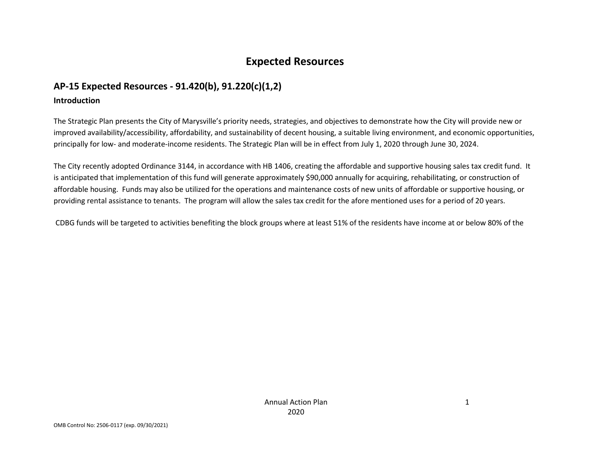## **Expected Resources**

## **AP-15 Expected Resources - 91.420(b), 91.220(c)(1,2)**

#### **Introduction**

The Strategic Plan presents the City of Marysville's priority needs, strategies, and objectives to demonstrate how the City will provide new or improved availability/accessibility, affordability, and sustainability of decent housing, a suitable living environment, and economic opportunities, principally for low- and moderate-income residents. The Strategic Plan will be in effect from July 1, 2020 through June 30, 2024.

The City recently adopted Ordinance 3144, in accordance with HB 1406, creating the affordable and supportive housing sales tax credit fund. It is anticipated that implementation of this fund will generate approximately \$90,000 annually for acquiring, rehabilitating, or construction of affordable housing. Funds may also be utilized for the operations and maintenance costs of new units of affordable or supportive housing, or providing rental assistance to tenants. The program will allow the sales tax credit for the afore mentioned uses for a period of 20 years.

CDBG funds will be targeted to activities benefiting the block groups where at least 51% of the residents have income at or below 80% of the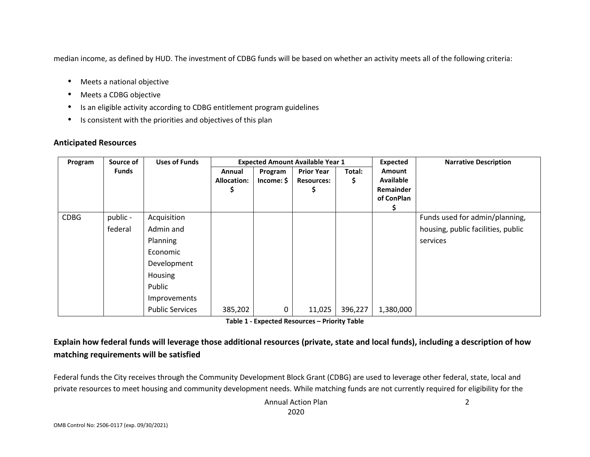median income, as defined by HUD. The investment of CDBG funds will be based on whether an activity meets all of the following criteria:

- •Meets a national objective
- •Meets a CDBG objective
- •Is an eligible activity according to CDBG entitlement program guidelines
- •Is consistent with the priorities and objectives of this plan

#### **Anticipated Resources**

| Program     | Source of           | <b>Uses of Funds</b>                                                                                                           | <b>Expected Amount Available Year 1</b> |                       |                                        |              | Expected                                                     | <b>Narrative Description</b>                                                     |
|-------------|---------------------|--------------------------------------------------------------------------------------------------------------------------------|-----------------------------------------|-----------------------|----------------------------------------|--------------|--------------------------------------------------------------|----------------------------------------------------------------------------------|
|             | <b>Funds</b>        |                                                                                                                                | Annual<br><b>Allocation:</b>            | Program<br>Income: \$ | <b>Prior Year</b><br><b>Resources:</b> | Total:<br>\$ | Amount<br><b>Available</b><br><b>Remainder</b><br>of ConPlan |                                                                                  |
| <b>CDBG</b> | public -<br>federal | Acquisition<br>Admin and<br>Planning<br>Economic<br>Development<br>Housing<br>Public<br>Improvements<br><b>Public Services</b> | 385,202                                 | 0                     | 11,025                                 | 396,227      | 1,380,000                                                    | Funds used for admin/planning,<br>housing, public facilities, public<br>services |

**Table 1 - Expected Resources – Priority Table** 

### **Explain how federal funds will leverage those additional resources (private, state and local funds), including a description of how matching requirements will be satisfied**

Federal funds the City receives through the Community Development Block Grant (CDBG) are used to leverage other federal, state, local and private resources to meet housing and community development needs. While matching funds are not currently required for eligibility for the

> Annual Action Plan2020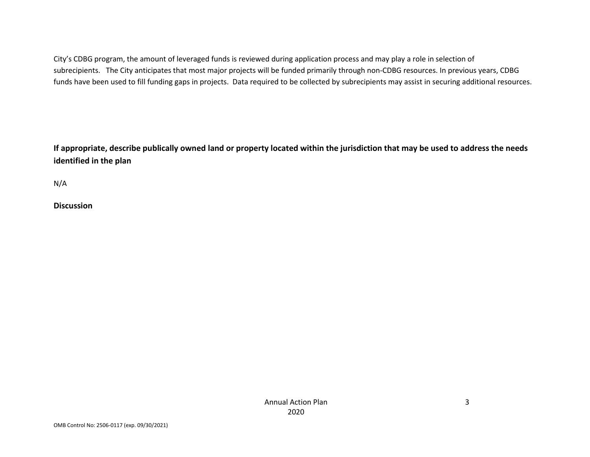City's CDBG program, the amount of leveraged funds is reviewed during application process and may play a role in selection of subrecipients. The City anticipates that most major projects will be funded primarily through non-CDBG resources. In previous years, CDBG funds have been used to fill funding gaps in projects. Data required to be collected by subrecipients may assist in securing additional resources.

**If appropriate, describe publically owned land or property located within the jurisdiction that may be used to address the needs identified in the plan** 

N/A

**Discussion**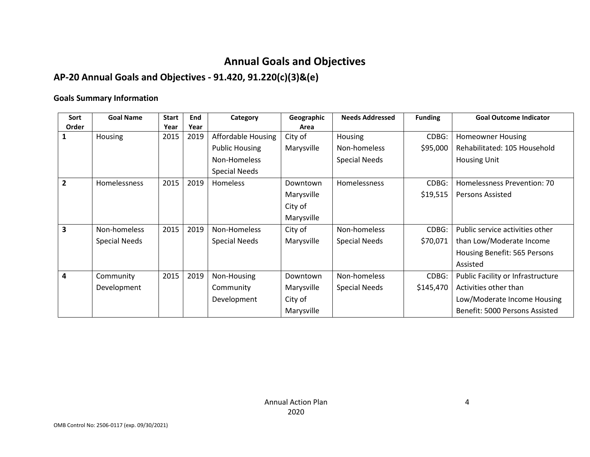# **Annual Goals and Objectives**

## **AP-20 Annual Goals and Objectives - 91.420, 91.220(c)(3)&(e)**

#### **Goals Summary Information**

| Sort           | <b>Goal Name</b>     | <b>Start</b> | End  | Category              | Geographic | <b>Needs Addressed</b> | <b>Funding</b> | <b>Goal Outcome Indicator</b>     |
|----------------|----------------------|--------------|------|-----------------------|------------|------------------------|----------------|-----------------------------------|
| Order          |                      | Year         | Year |                       | Area       |                        |                |                                   |
|                | <b>Housing</b>       | 2015         | 2019 | Affordable Housing    | City of    | Housing                | CDBG:          | <b>Homeowner Housing</b>          |
|                |                      |              |      | <b>Public Housing</b> | Marysville | Non-homeless           | \$95,000       | Rehabilitated: 105 Household      |
|                |                      |              |      | Non-Homeless          |            | <b>Special Needs</b>   |                | <b>Housing Unit</b>               |
|                |                      |              |      | <b>Special Needs</b>  |            |                        |                |                                   |
| $\overline{2}$ | Homelessness         | 2015         | 2019 | Homeless              | Downtown   | Homelessness           | CDBG:          | Homelessness Prevention: 70       |
|                |                      |              |      |                       | Marysville |                        | \$19,515       | <b>Persons Assisted</b>           |
|                |                      |              |      |                       | City of    |                        |                |                                   |
|                |                      |              |      |                       | Marysville |                        |                |                                   |
| 3              | Non-homeless         | 2015         | 2019 | Non-Homeless          | City of    | Non-homeless           | CDBG:          | Public service activities other   |
|                | <b>Special Needs</b> |              |      | <b>Special Needs</b>  | Marysville | Special Needs          | \$70,071       | than Low/Moderate Income          |
|                |                      |              |      |                       |            |                        |                | Housing Benefit: 565 Persons      |
|                |                      |              |      |                       |            |                        |                | Assisted                          |
| 4              | Community            | 2015         | 2019 | Non-Housing           | Downtown   | Non-homeless           | CDBG:          | Public Facility or Infrastructure |
|                | Development          |              |      | Community             | Marysville | <b>Special Needs</b>   | \$145,470      | Activities other than             |
|                |                      |              |      | Development           | City of    |                        |                | Low/Moderate Income Housing       |
|                |                      |              |      |                       | Marysville |                        |                | Benefit: 5000 Persons Assisted    |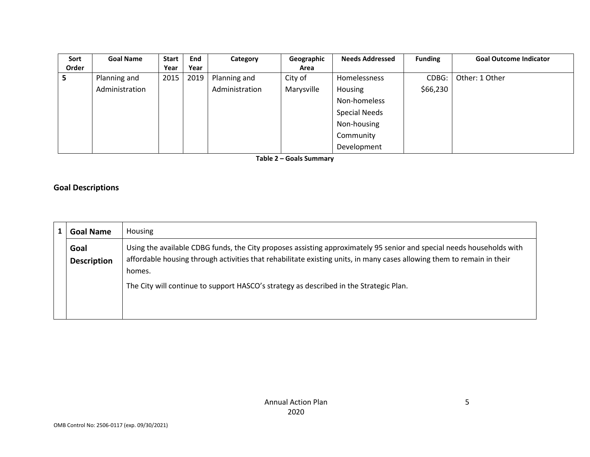| Sort  | <b>Goal Name</b> | <b>Start</b> | End  | Category       | Geographic | <b>Needs Addressed</b> | <b>Funding</b> | <b>Goal Outcome Indicator</b> |
|-------|------------------|--------------|------|----------------|------------|------------------------|----------------|-------------------------------|
| Order |                  | Year         | Year |                | Area       |                        |                |                               |
| 5     | Planning and     | 2015         | 2019 | Planning and   | City of    | Homelessness           | CDBG:          | Other: 1 Other                |
|       | Administration   |              |      | Administration | Marysville | Housing                | \$66,230       |                               |
|       |                  |              |      |                |            | Non-homeless           |                |                               |
|       |                  |              |      |                |            | <b>Special Needs</b>   |                |                               |
|       |                  |              |      |                |            | Non-housing            |                |                               |
|       |                  |              |      |                |            | Community              |                |                               |
|       |                  |              |      |                |            | Development            |                |                               |

**Table 2 – Goals Summary** 

#### **Goal Descriptions**

| Goal Name          | Housing                                                                                                                          |
|--------------------|----------------------------------------------------------------------------------------------------------------------------------|
| Goal               | Using the available CDBG funds, the City proposes assisting approximately 95 senior and special needs households with            |
| <b>Description</b> | affordable housing through activities that rehabilitate existing units, in many cases allowing them to remain in their<br>homes. |
|                    | The City will continue to support HASCO's strategy as described in the Strategic Plan.                                           |
|                    |                                                                                                                                  |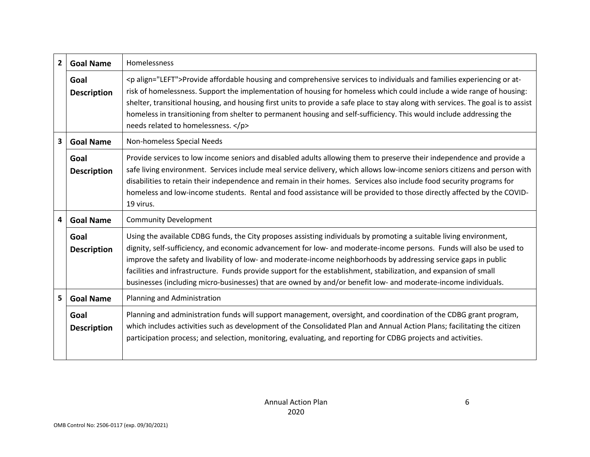| $\overline{2}$          | <b>Goal Name</b>           | Homelessness                                                                                                                                                                                                                                                                                                                                                                                                                                                                                                                                                                                           |
|-------------------------|----------------------------|--------------------------------------------------------------------------------------------------------------------------------------------------------------------------------------------------------------------------------------------------------------------------------------------------------------------------------------------------------------------------------------------------------------------------------------------------------------------------------------------------------------------------------------------------------------------------------------------------------|
|                         | Goal<br><b>Description</b> | <p align="LEFT">Provide affordable housing and comprehensive services to individuals and families experiencing or at-<br/>risk of homelessness. Support the implementation of housing for homeless which could include a wide range of housing:<br/>shelter, transitional housing, and housing first units to provide a safe place to stay along with services. The goal is to assist<br/>homeless in transitioning from shelter to permanent housing and self-sufficiency. This would include addressing the<br/>needs related to homelessness. </p>                                                  |
| $\overline{\mathbf{3}}$ | <b>Goal Name</b>           | Non-homeless Special Needs                                                                                                                                                                                                                                                                                                                                                                                                                                                                                                                                                                             |
|                         | Goal<br><b>Description</b> | Provide services to low income seniors and disabled adults allowing them to preserve their independence and provide a<br>safe living environment. Services include meal service delivery, which allows low-income seniors citizens and person with<br>disabilities to retain their independence and remain in their homes. Services also include food security programs for<br>homeless and low-income students. Rental and food assistance will be provided to those directly affected by the COVID-<br>19 virus.                                                                                     |
| 4                       | <b>Goal Name</b>           | <b>Community Development</b>                                                                                                                                                                                                                                                                                                                                                                                                                                                                                                                                                                           |
|                         | Goal<br><b>Description</b> | Using the available CDBG funds, the City proposes assisting individuals by promoting a suitable living environment,<br>dignity, self-sufficiency, and economic advancement for low- and moderate-income persons. Funds will also be used to<br>improve the safety and livability of low- and moderate-income neighborhoods by addressing service gaps in public<br>facilities and infrastructure. Funds provide support for the establishment, stabilization, and expansion of small<br>businesses (including micro-businesses) that are owned by and/or benefit low- and moderate-income individuals. |
| 5                       | <b>Goal Name</b>           | Planning and Administration                                                                                                                                                                                                                                                                                                                                                                                                                                                                                                                                                                            |
|                         | Goal<br><b>Description</b> | Planning and administration funds will support management, oversight, and coordination of the CDBG grant program,<br>which includes activities such as development of the Consolidated Plan and Annual Action Plans; facilitating the citizen<br>participation process; and selection, monitoring, evaluating, and reporting for CDBG projects and activities.                                                                                                                                                                                                                                         |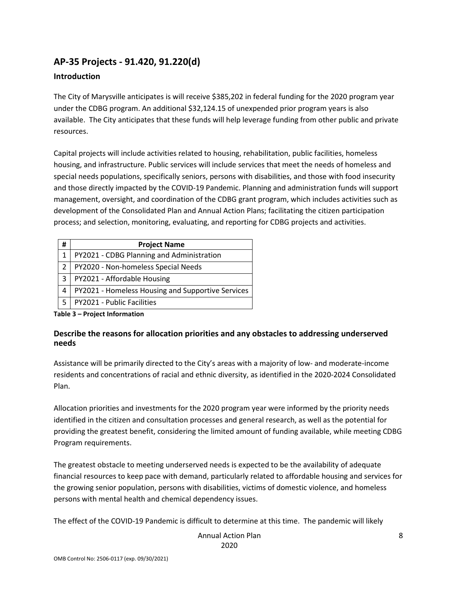## **AP-35 Projects - 91.420, 91.220(d)**

#### **Introduction**

The City of Marysville anticipates is will receive \$385,202 in federal funding for the 2020 program year under the CDBG program. An additional \$32,124.15 of unexpended prior program years is also available. The City anticipates that these funds will help leverage funding from other public and private resources.

Capital projects will include activities related to housing, rehabilitation, public facilities, homeless housing, and infrastructure. Public services will include services that meet the needs of homeless and special needs populations, specifically seniors, persons with disabilities, and those with food insecurity and those directly impacted by the COVID-19 Pandemic. Planning and administration funds will support management, oversight, and coordination of the CDBG grant program, which includes activities such as development of the Consolidated Plan and Annual Action Plans; facilitating the citizen participation process; and selection, monitoring, evaluating, and reporting for CDBG projects and activities.

| #              | <b>Project Name</b>                               |
|----------------|---------------------------------------------------|
| 1              | PY2021 - CDBG Planning and Administration         |
| $\mathfrak{p}$ | PY2020 - Non-homeless Special Needs               |
| 3              | PY2021 - Affordable Housing                       |
| 4              | PY2021 - Homeless Housing and Supportive Services |
| 5              | PY2021 - Public Facilities                        |

**Table 3 – Project Information** 

#### **Describe the reasons for allocation priorities and any obstacles to addressing underserved needs**

Assistance will be primarily directed to the City's areas with a majority of low- and moderate-income residents and concentrations of racial and ethnic diversity, as identified in the 2020-2024 Consolidated Plan.

Allocation priorities and investments for the 2020 program year were informed by the priority needs identified in the citizen and consultation processes and general research, as well as the potential for providing the greatest benefit, considering the limited amount of funding available, while meeting CDBG Program requirements.

The greatest obstacle to meeting underserved needs is expected to be the availability of adequate financial resources to keep pace with demand, particularly related to affordable housing and services for the growing senior population, persons with disabilities, victims of domestic violence, and homeless persons with mental health and chemical dependency issues.

The effect of the COVID-19 Pandemic is difficult to determine at this time. The pandemic will likely

Annual Action Plan 2020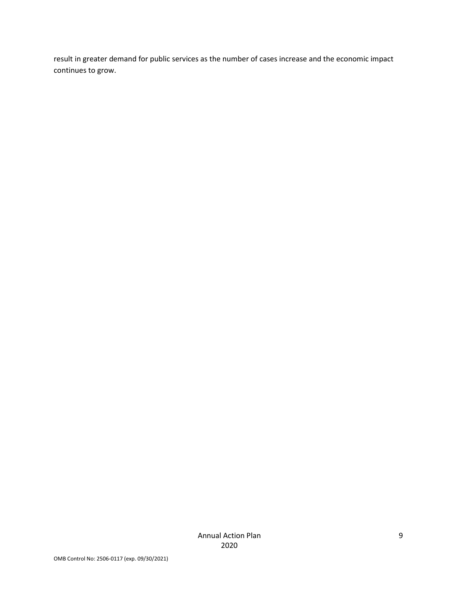result in greater demand for public services as the number of cases increase and the economic impact continues to grow.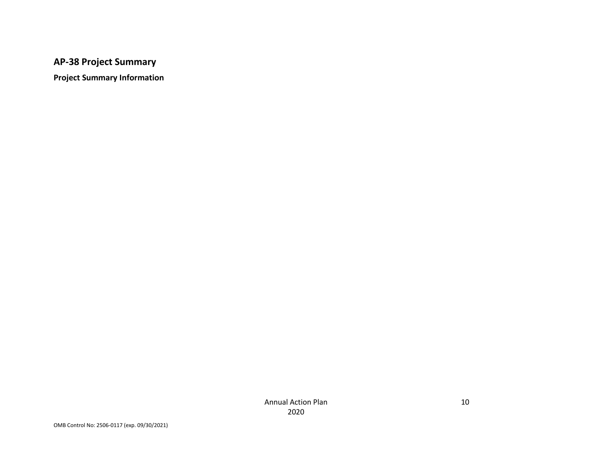## **AP-38 Project Summary**

**Project Summary Information**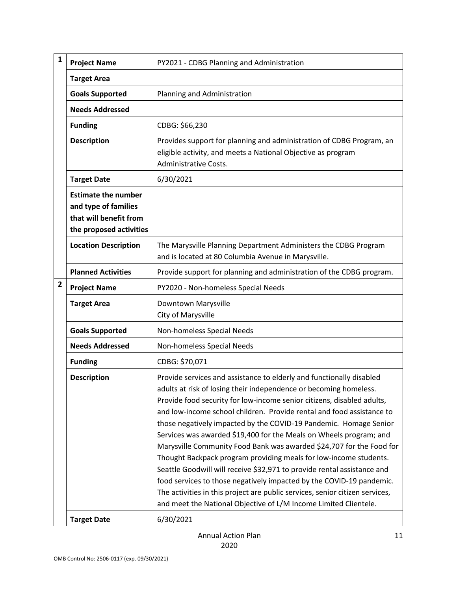| $\mathbf{1}$   | <b>Project Name</b>                                                                                     | PY2021 - CDBG Planning and Administration                                                                                                                                                                                                                                                                                                                                                                                                                                                                                                                                                                                                                                                                                                                                                                                                                                                   |
|----------------|---------------------------------------------------------------------------------------------------------|---------------------------------------------------------------------------------------------------------------------------------------------------------------------------------------------------------------------------------------------------------------------------------------------------------------------------------------------------------------------------------------------------------------------------------------------------------------------------------------------------------------------------------------------------------------------------------------------------------------------------------------------------------------------------------------------------------------------------------------------------------------------------------------------------------------------------------------------------------------------------------------------|
|                | <b>Target Area</b>                                                                                      |                                                                                                                                                                                                                                                                                                                                                                                                                                                                                                                                                                                                                                                                                                                                                                                                                                                                                             |
|                | <b>Goals Supported</b>                                                                                  | Planning and Administration                                                                                                                                                                                                                                                                                                                                                                                                                                                                                                                                                                                                                                                                                                                                                                                                                                                                 |
|                | <b>Needs Addressed</b>                                                                                  |                                                                                                                                                                                                                                                                                                                                                                                                                                                                                                                                                                                                                                                                                                                                                                                                                                                                                             |
|                | <b>Funding</b>                                                                                          | CDBG: \$66,230                                                                                                                                                                                                                                                                                                                                                                                                                                                                                                                                                                                                                                                                                                                                                                                                                                                                              |
|                | <b>Description</b>                                                                                      | Provides support for planning and administration of CDBG Program, an<br>eligible activity, and meets a National Objective as program<br>Administrative Costs.                                                                                                                                                                                                                                                                                                                                                                                                                                                                                                                                                                                                                                                                                                                               |
|                | <b>Target Date</b>                                                                                      | 6/30/2021                                                                                                                                                                                                                                                                                                                                                                                                                                                                                                                                                                                                                                                                                                                                                                                                                                                                                   |
|                | <b>Estimate the number</b><br>and type of families<br>that will benefit from<br>the proposed activities |                                                                                                                                                                                                                                                                                                                                                                                                                                                                                                                                                                                                                                                                                                                                                                                                                                                                                             |
|                | <b>Location Description</b>                                                                             | The Marysville Planning Department Administers the CDBG Program<br>and is located at 80 Columbia Avenue in Marysville.                                                                                                                                                                                                                                                                                                                                                                                                                                                                                                                                                                                                                                                                                                                                                                      |
|                | <b>Planned Activities</b>                                                                               | Provide support for planning and administration of the CDBG program.                                                                                                                                                                                                                                                                                                                                                                                                                                                                                                                                                                                                                                                                                                                                                                                                                        |
| $\overline{2}$ | <b>Project Name</b>                                                                                     | PY2020 - Non-homeless Special Needs                                                                                                                                                                                                                                                                                                                                                                                                                                                                                                                                                                                                                                                                                                                                                                                                                                                         |
|                | <b>Target Area</b>                                                                                      | Downtown Marysville<br>City of Marysville                                                                                                                                                                                                                                                                                                                                                                                                                                                                                                                                                                                                                                                                                                                                                                                                                                                   |
|                | <b>Goals Supported</b>                                                                                  | Non-homeless Special Needs                                                                                                                                                                                                                                                                                                                                                                                                                                                                                                                                                                                                                                                                                                                                                                                                                                                                  |
|                | <b>Needs Addressed</b>                                                                                  | Non-homeless Special Needs                                                                                                                                                                                                                                                                                                                                                                                                                                                                                                                                                                                                                                                                                                                                                                                                                                                                  |
|                | <b>Funding</b>                                                                                          | CDBG: \$70,071                                                                                                                                                                                                                                                                                                                                                                                                                                                                                                                                                                                                                                                                                                                                                                                                                                                                              |
|                | <b>Description</b>                                                                                      | Provide services and assistance to elderly and functionally disabled<br>adults at risk of losing their independence or becoming homeless.<br>Provide food security for low-income senior citizens, disabled adults,<br>and low-income school children. Provide rental and food assistance to<br>those negatively impacted by the COVID-19 Pandemic. Homage Senior<br>Services was awarded \$19,400 for the Meals on Wheels program; and<br>Marysville Community Food Bank was awarded \$24,707 for the Food for<br>Thought Backpack program providing meals for low-income students.<br>Seattle Goodwill will receive \$32,971 to provide rental assistance and<br>food services to those negatively impacted by the COVID-19 pandemic.<br>The activities in this project are public services, senior citizen services,<br>and meet the National Objective of L/M Income Limited Clientele. |
|                | <b>Target Date</b>                                                                                      | 6/30/2021                                                                                                                                                                                                                                                                                                                                                                                                                                                                                                                                                                                                                                                                                                                                                                                                                                                                                   |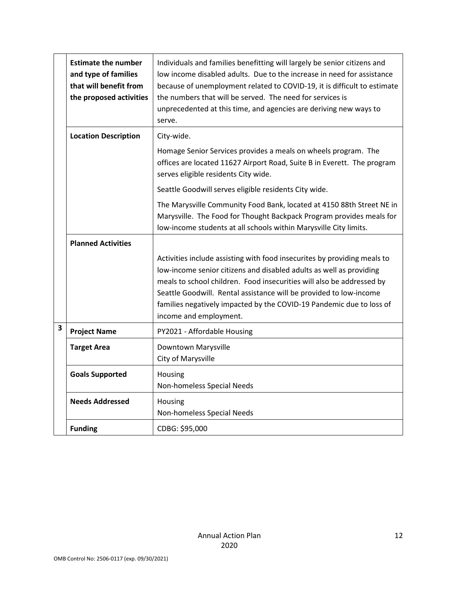|                         | <b>Estimate the number</b><br>and type of families<br>that will benefit from<br>the proposed activities | Individuals and families benefitting will largely be senior citizens and<br>low income disabled adults. Due to the increase in need for assistance<br>because of unemployment related to COVID-19, it is difficult to estimate<br>the numbers that will be served. The need for services is<br>unprecedented at this time, and agencies are deriving new ways to<br>serve.                       |
|-------------------------|---------------------------------------------------------------------------------------------------------|--------------------------------------------------------------------------------------------------------------------------------------------------------------------------------------------------------------------------------------------------------------------------------------------------------------------------------------------------------------------------------------------------|
|                         | <b>Location Description</b>                                                                             | City-wide.                                                                                                                                                                                                                                                                                                                                                                                       |
|                         |                                                                                                         | Homage Senior Services provides a meals on wheels program. The<br>offices are located 11627 Airport Road, Suite B in Everett. The program<br>serves eligible residents City wide.                                                                                                                                                                                                                |
|                         |                                                                                                         | Seattle Goodwill serves eligible residents City wide.                                                                                                                                                                                                                                                                                                                                            |
|                         |                                                                                                         | The Marysville Community Food Bank, located at 4150 88th Street NE in<br>Marysville. The Food for Thought Backpack Program provides meals for<br>low-income students at all schools within Marysville City limits.                                                                                                                                                                               |
|                         | <b>Planned Activities</b>                                                                               |                                                                                                                                                                                                                                                                                                                                                                                                  |
|                         |                                                                                                         | Activities include assisting with food insecurites by providing meals to<br>low-income senior citizens and disabled adults as well as providing<br>meals to school children. Food insecurities will also be addressed by<br>Seattle Goodwill. Rental assistance will be provided to low-income<br>families negatively impacted by the COVID-19 Pandemic due to loss of<br>income and employment. |
| $\overline{\mathbf{3}}$ | <b>Project Name</b>                                                                                     | PY2021 - Affordable Housing                                                                                                                                                                                                                                                                                                                                                                      |
|                         | <b>Target Area</b>                                                                                      | Downtown Marysville<br>City of Marysville                                                                                                                                                                                                                                                                                                                                                        |
|                         | <b>Goals Supported</b>                                                                                  | Housing<br>Non-homeless Special Needs                                                                                                                                                                                                                                                                                                                                                            |
|                         | <b>Needs Addressed</b>                                                                                  | Housing<br>Non-homeless Special Needs                                                                                                                                                                                                                                                                                                                                                            |
|                         | <b>Funding</b>                                                                                          | CDBG: \$95,000                                                                                                                                                                                                                                                                                                                                                                                   |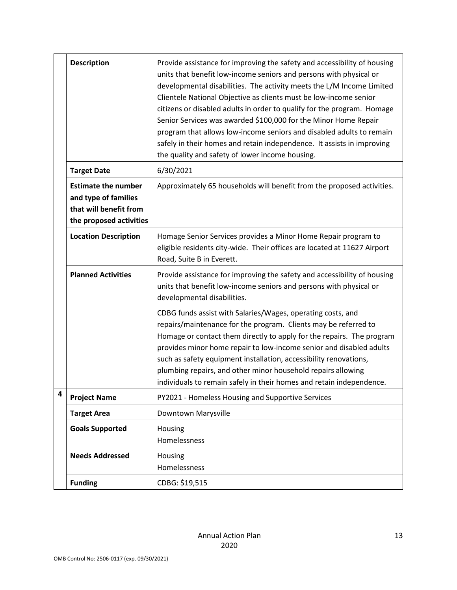|   | <b>Description</b>                                                                                      | Provide assistance for improving the safety and accessibility of housing<br>units that benefit low-income seniors and persons with physical or<br>developmental disabilities. The activity meets the L/M Income Limited<br>Clientele National Objective as clients must be low-income senior<br>citizens or disabled adults in order to qualify for the program. Homage<br>Senior Services was awarded \$100,000 for the Minor Home Repair<br>program that allows low-income seniors and disabled adults to remain<br>safely in their homes and retain independence. It assists in improving<br>the quality and safety of lower income housing. |
|---|---------------------------------------------------------------------------------------------------------|-------------------------------------------------------------------------------------------------------------------------------------------------------------------------------------------------------------------------------------------------------------------------------------------------------------------------------------------------------------------------------------------------------------------------------------------------------------------------------------------------------------------------------------------------------------------------------------------------------------------------------------------------|
|   | <b>Target Date</b>                                                                                      | 6/30/2021                                                                                                                                                                                                                                                                                                                                                                                                                                                                                                                                                                                                                                       |
|   | <b>Estimate the number</b><br>and type of families<br>that will benefit from<br>the proposed activities | Approximately 65 households will benefit from the proposed activities.                                                                                                                                                                                                                                                                                                                                                                                                                                                                                                                                                                          |
|   | <b>Location Description</b>                                                                             | Homage Senior Services provides a Minor Home Repair program to<br>eligible residents city-wide. Their offices are located at 11627 Airport<br>Road, Suite B in Everett.                                                                                                                                                                                                                                                                                                                                                                                                                                                                         |
|   | <b>Planned Activities</b>                                                                               | Provide assistance for improving the safety and accessibility of housing<br>units that benefit low-income seniors and persons with physical or<br>developmental disabilities.<br>CDBG funds assist with Salaries/Wages, operating costs, and<br>repairs/maintenance for the program. Clients may be referred to<br>Homage or contact them directly to apply for the repairs. The program<br>provides minor home repair to low-income senior and disabled adults                                                                                                                                                                                 |
|   |                                                                                                         | such as safety equipment installation, accessibility renovations,<br>plumbing repairs, and other minor household repairs allowing<br>individuals to remain safely in their homes and retain independence.                                                                                                                                                                                                                                                                                                                                                                                                                                       |
| 4 | <b>Project Name</b>                                                                                     | PY2021 - Homeless Housing and Supportive Services                                                                                                                                                                                                                                                                                                                                                                                                                                                                                                                                                                                               |
|   | <b>Target Area</b>                                                                                      | Downtown Marysville                                                                                                                                                                                                                                                                                                                                                                                                                                                                                                                                                                                                                             |
|   | <b>Goals Supported</b>                                                                                  | Housing<br>Homelessness                                                                                                                                                                                                                                                                                                                                                                                                                                                                                                                                                                                                                         |
|   | <b>Needs Addressed</b>                                                                                  | Housing<br>Homelessness                                                                                                                                                                                                                                                                                                                                                                                                                                                                                                                                                                                                                         |
|   | <b>Funding</b>                                                                                          | CDBG: \$19,515                                                                                                                                                                                                                                                                                                                                                                                                                                                                                                                                                                                                                                  |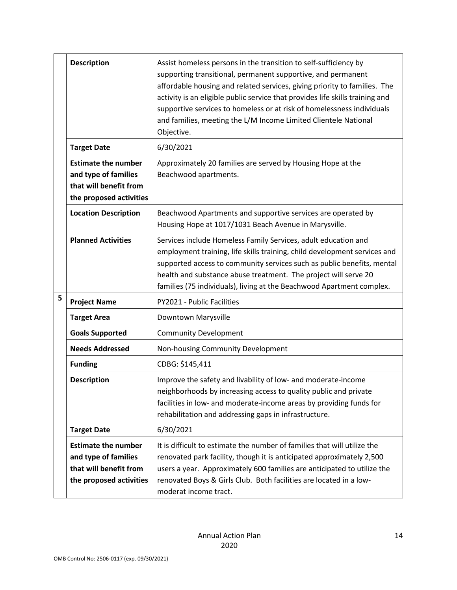|   | <b>Description</b>                                                                                      | Assist homeless persons in the transition to self-sufficiency by<br>supporting transitional, permanent supportive, and permanent<br>affordable housing and related services, giving priority to families. The<br>activity is an eligible public service that provides life skills training and<br>supportive services to homeless or at risk of homelessness individuals<br>and families, meeting the L/M Income Limited Clientele National<br>Objective. |
|---|---------------------------------------------------------------------------------------------------------|-----------------------------------------------------------------------------------------------------------------------------------------------------------------------------------------------------------------------------------------------------------------------------------------------------------------------------------------------------------------------------------------------------------------------------------------------------------|
|   | <b>Target Date</b>                                                                                      | 6/30/2021                                                                                                                                                                                                                                                                                                                                                                                                                                                 |
|   | <b>Estimate the number</b><br>and type of families<br>that will benefit from<br>the proposed activities | Approximately 20 families are served by Housing Hope at the<br>Beachwood apartments.                                                                                                                                                                                                                                                                                                                                                                      |
|   | <b>Location Description</b>                                                                             | Beachwood Apartments and supportive services are operated by<br>Housing Hope at 1017/1031 Beach Avenue in Marysville.                                                                                                                                                                                                                                                                                                                                     |
|   | <b>Planned Activities</b>                                                                               | Services include Homeless Family Services, adult education and<br>employment training, life skills training, child development services and<br>supported access to community services such as public benefits, mental<br>health and substance abuse treatment. The project will serve 20<br>families (75 individuals), living at the Beachwood Apartment complex.                                                                                         |
| 5 | <b>Project Name</b>                                                                                     | PY2021 - Public Facilities                                                                                                                                                                                                                                                                                                                                                                                                                                |
|   | <b>Target Area</b>                                                                                      | Downtown Marysville                                                                                                                                                                                                                                                                                                                                                                                                                                       |
|   | <b>Goals Supported</b>                                                                                  | <b>Community Development</b>                                                                                                                                                                                                                                                                                                                                                                                                                              |
|   | <b>Needs Addressed</b>                                                                                  | Non-housing Community Development                                                                                                                                                                                                                                                                                                                                                                                                                         |
|   | <b>Funding</b>                                                                                          | CDBG: \$145,411                                                                                                                                                                                                                                                                                                                                                                                                                                           |
|   | <b>Description</b>                                                                                      | Improve the safety and livability of low- and moderate-income<br>neighborhoods by increasing access to quality public and private<br>facilities in low- and moderate-income areas by providing funds for<br>rehabilitation and addressing gaps in infrastructure.                                                                                                                                                                                         |
|   | <b>Target Date</b>                                                                                      | 6/30/2021                                                                                                                                                                                                                                                                                                                                                                                                                                                 |
|   | <b>Estimate the number</b><br>and type of families<br>that will benefit from<br>the proposed activities | It is difficult to estimate the number of families that will utilize the<br>renovated park facility, though it is anticipated approximately 2,500<br>users a year. Approximately 600 families are anticipated to utilize the<br>renovated Boys & Girls Club. Both facilities are located in a low-<br>moderat income tract.                                                                                                                               |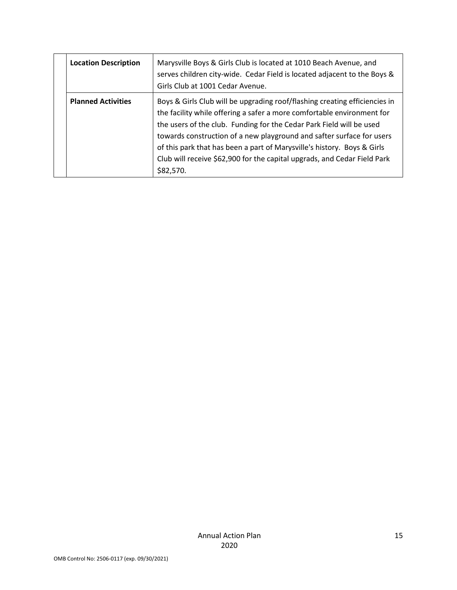| <b>Location Description</b> | Marysville Boys & Girls Club is located at 1010 Beach Avenue, and<br>serves children city-wide. Cedar Field is located adjacent to the Boys &<br>Girls Club at 1001 Cedar Avenue.                                                                                                                                                                                                                                                                                         |
|-----------------------------|---------------------------------------------------------------------------------------------------------------------------------------------------------------------------------------------------------------------------------------------------------------------------------------------------------------------------------------------------------------------------------------------------------------------------------------------------------------------------|
| <b>Planned Activities</b>   | Boys & Girls Club will be upgrading roof/flashing creating efficiencies in<br>the facility while offering a safer a more comfortable environment for<br>the users of the club. Funding for the Cedar Park Field will be used<br>towards construction of a new playground and safter surface for users<br>of this park that has been a part of Marysville's history. Boys & Girls<br>Club will receive \$62,900 for the capital upgrads, and Cedar Field Park<br>\$82,570. |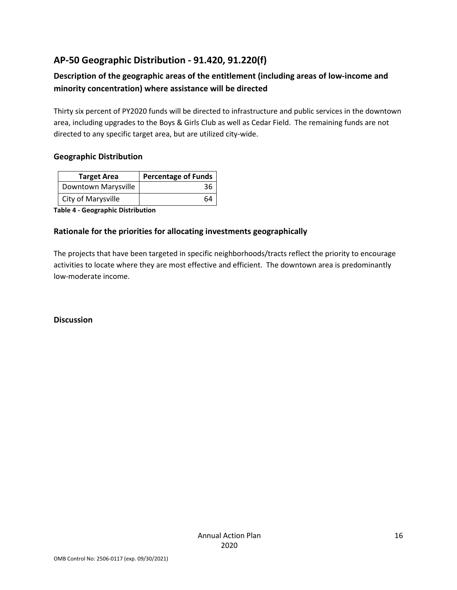## **AP-50 Geographic Distribution - 91.420, 91.220(f)**

### **Description of the geographic areas of the entitlement (including areas of low-income and minority concentration) where assistance will be directed**

Thirty six percent of PY2020 funds will be directed to infrastructure and public services in the downtown area, including upgrades to the Boys & Girls Club as well as Cedar Field. The remaining funds are not directed to any specific target area, but are utilized city-wide.

#### **Geographic Distribution**

| <b>Target Area</b>  | <b>Percentage of Funds</b> |
|---------------------|----------------------------|
| Downtown Marysville | 36                         |
| City of Marysville  | 64                         |

**Table 4 - Geographic Distribution** 

#### **Rationale for the priorities for allocating investments geographically**

The projects that have been targeted in specific neighborhoods/tracts reflect the priority to encourage activities to locate where they are most effective and efficient. The downtown area is predominantly low-moderate income.

**Discussion**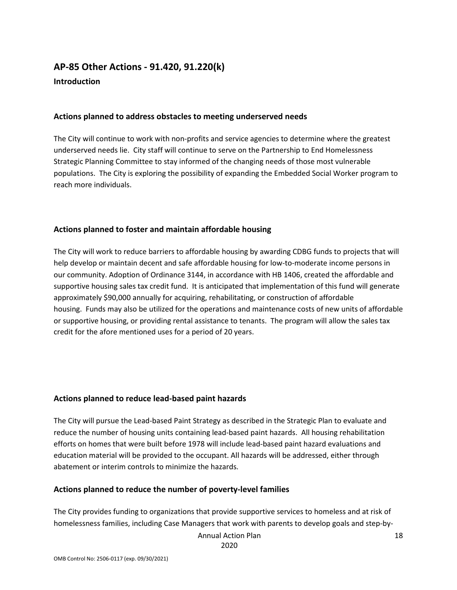## **AP-85 Other Actions - 91.420, 91.220(k) Introduction**

#### **Actions planned to address obstacles to meeting underserved needs**

The City will continue to work with non-profits and service agencies to determine where the greatest underserved needs lie. City staff will continue to serve on the Partnership to End Homelessness Strategic Planning Committee to stay informed of the changing needs of those most vulnerable populations. The City is exploring the possibility of expanding the Embedded Social Worker program to reach more individuals.

#### **Actions planned to foster and maintain affordable housing**

The City will work to reduce barriers to affordable housing by awarding CDBG funds to projects that will help develop or maintain decent and safe affordable housing for low-to-moderate income persons in our community. Adoption of Ordinance 3144, in accordance with HB 1406, created the affordable and supportive housing sales tax credit fund. It is anticipated that implementation of this fund will generate approximately \$90,000 annually for acquiring, rehabilitating, or construction of affordable housing. Funds may also be utilized for the operations and maintenance costs of new units of affordable or supportive housing, or providing rental assistance to tenants. The program will allow the sales tax credit for the afore mentioned uses for a period of 20 years.

#### **Actions planned to reduce lead-based paint hazards**

The City will pursue the Lead-based Paint Strategy as described in the Strategic Plan to evaluate and reduce the number of housing units containing lead-based paint hazards. All housing rehabilitation efforts on homes that were built before 1978 will include lead-based paint hazard evaluations and education material will be provided to the occupant. All hazards will be addressed, either through abatement or interim controls to minimize the hazards.

#### **Actions planned to reduce the number of poverty-level families**

The City provides funding to organizations that provide supportive services to homeless and at risk of homelessness families, including Case Managers that work with parents to develop goals and step-by-

Annual Action Plan

2020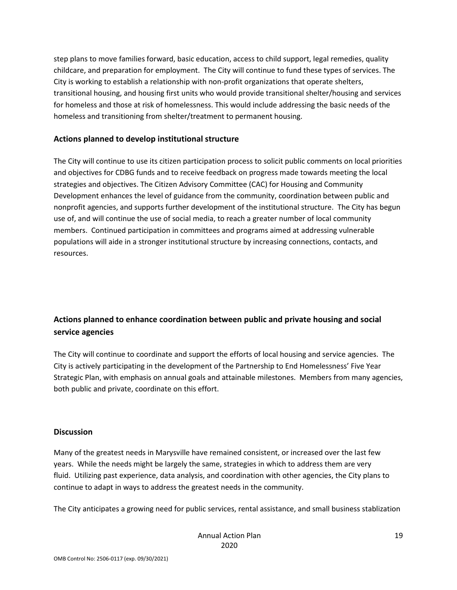step plans to move families forward, basic education, access to child support, legal remedies, quality childcare, and preparation for employment. The City will continue to fund these types of services. The City is working to establish a relationship with non-profit organizations that operate shelters, transitional housing, and housing first units who would provide transitional shelter/housing and services for homeless and those at risk of homelessness. This would include addressing the basic needs of the homeless and transitioning from shelter/treatment to permanent housing.

#### **Actions planned to develop institutional structure**

The City will continue to use its citizen participation process to solicit public comments on local priorities and objectives for CDBG funds and to receive feedback on progress made towards meeting the local strategies and objectives. The Citizen Advisory Committee (CAC) for Housing and Community Development enhances the level of guidance from the community, coordination between public and nonprofit agencies, and supports further development of the institutional structure. The City has begun use of, and will continue the use of social media, to reach a greater number of local community members. Continued participation in committees and programs aimed at addressing vulnerable populations will aide in a stronger institutional structure by increasing connections, contacts, and resources.

## **Actions planned to enhance coordination between public and private housing and social service agencies**

The City will continue to coordinate and support the efforts of local housing and service agencies. The City is actively participating in the development of the Partnership to End Homelessness' Five Year Strategic Plan, with emphasis on annual goals and attainable milestones. Members from many agencies, both public and private, coordinate on this effort.

#### **Discussion**

Many of the greatest needs in Marysville have remained consistent, or increased over the last few years. While the needs might be largely the same, strategies in which to address them are very fluid. Utilizing past experience, data analysis, and coordination with other agencies, the City plans to continue to adapt in ways to address the greatest needs in the community.

The City anticipates a growing need for public services, rental assistance, and small business stablization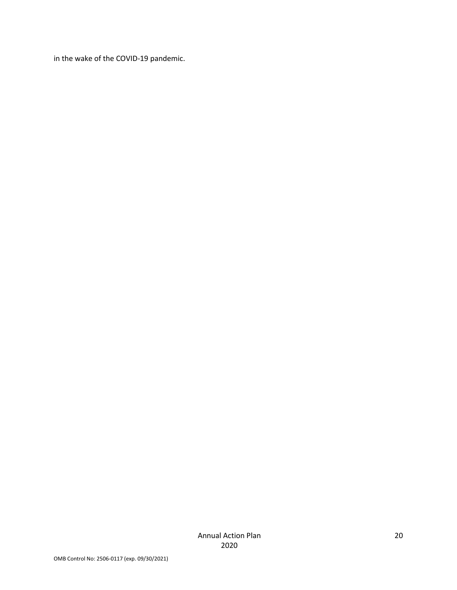in the wake of the COVID-19 pandemic.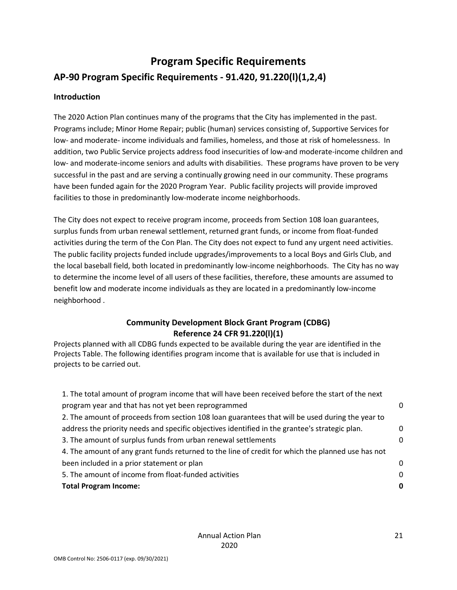# **Program Specific Requirements AP-90 Program Specific Requirements - 91.420, 91.220(l)(1,2,4)**

#### **Introduction**

The 2020 Action Plan continues many of the programs that the City has implemented in the past. Programs include; Minor Home Repair; public (human) services consisting of, Supportive Services for low- and moderate- income individuals and families, homeless, and those at risk of homelessness. In addition, two Public Service projects address food insecurities of low-and moderate-income children and low- and moderate-income seniors and adults with disabilities. These programs have proven to be very successful in the past and are serving a continually growing need in our community. These programs have been funded again for the 2020 Program Year. Public facility projects will provide improved facilities to those in predominantly low-moderate income neighborhoods.

The City does not expect to receive program income, proceeds from Section 108 loan guarantees, surplus funds from urban renewal settlement, returned grant funds, or income from float-funded activities during the term of the Con Plan. The City does not expect to fund any urgent need activities. The public facility projects funded include upgrades/improvements to a local Boys and Girls Club, and the local baseball field, both located in predominantly low-income neighborhoods. The City has no way to determine the income level of all users of these facilities, therefore, these amounts are assumed to benefit low and moderate income individuals as they are located in a predominantly low-income neighborhood .

#### **Community Development Block Grant Program (CDBG) Reference 24 CFR 91.220(l)(1)**

Projects planned with all CDBG funds expected to be available during the year are identified in the Projects Table. The following identifies program income that is available for use that is included in projects to be carried out.

| <b>Total Program Income:</b>                                                                      | 0        |
|---------------------------------------------------------------------------------------------------|----------|
| 5. The amount of income from float-funded activities                                              | $\Omega$ |
| been included in a prior statement or plan                                                        | 0        |
| 4. The amount of any grant funds returned to the line of credit for which the planned use has not |          |
| 3. The amount of surplus funds from urban renewal settlements                                     | $\Omega$ |
| address the priority needs and specific objectives identified in the grantee's strategic plan.    | $\Omega$ |
| 2. The amount of proceeds from section 108 loan guarantees that will be used during the year to   |          |
| program year and that has not yet been reprogrammed                                               | 0        |
| 1. The total amount of program income that will have been received before the start of the next   |          |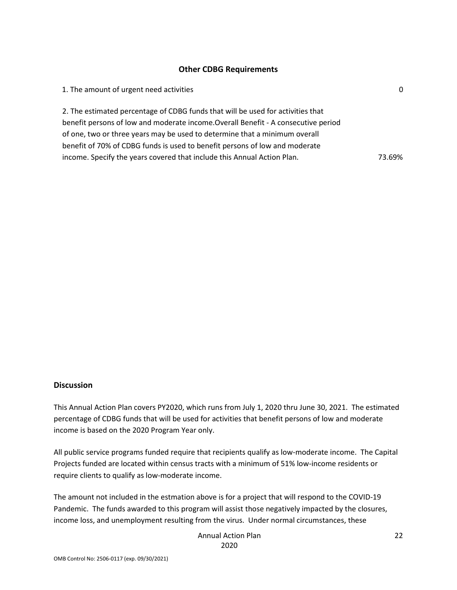#### **Other CDBG Requirements**

| 1. The amount of urgent need activities                                            | 0      |
|------------------------------------------------------------------------------------|--------|
| 2. The estimated percentage of CDBG funds that will be used for activities that    |        |
| benefit persons of low and moderate income. Overall Benefit - A consecutive period |        |
| of one, two or three years may be used to determine that a minimum overall         |        |
| benefit of 70% of CDBG funds is used to benefit persons of low and moderate        |        |
| income. Specify the years covered that include this Annual Action Plan.            | 73.69% |

#### **Discussion**

This Annual Action Plan covers PY2020, which runs from July 1, 2020 thru June 30, 2021. The estimated percentage of CDBG funds that will be used for activities that benefit persons of low and moderate income is based on the 2020 Program Year only.

All public service programs funded require that recipients qualify as low-moderate income. The Capital Projects funded are located within census tracts with a minimum of 51% low-income residents or require clients to qualify as low-moderate income.

The amount not included in the estmation above is for a project that will respond to the COVID-19 Pandemic. The funds awarded to this program will assist those negatively impacted by the closures, income loss, and unemployment resulting from the virus. Under normal circumstances, these